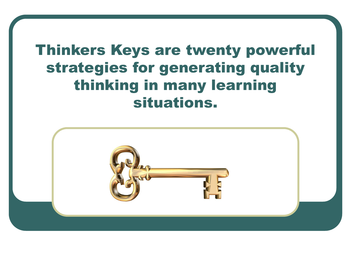### Thinkers Keys are twenty powerful strategies for generating quality thinking in many learning situations.

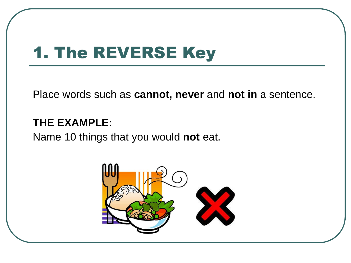### 1. The REVERSE Key

Place words such as **cannot, never** and **not in** a sentence.

#### **THE EXAMPLE:**

Name 10 things that you would **not** eat.

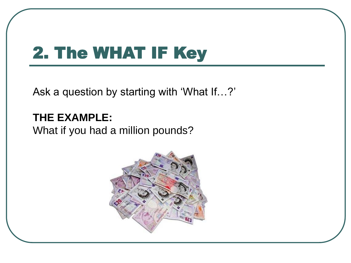### 2. The WHAT IF Key

Ask a question by starting with 'What If…?'

**THE EXAMPLE:** What if you had a million pounds?

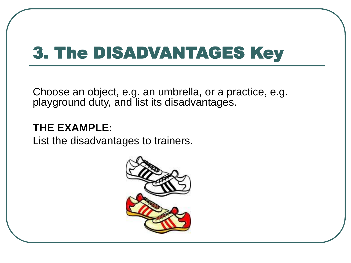### 3. The DISADVANTAGES Key

Choose an object, e.g. an umbrella, or a practice, e.g. playground duty, and list its disadvantages.

#### **THE EXAMPLE:**

List the disadvantages to trainers.

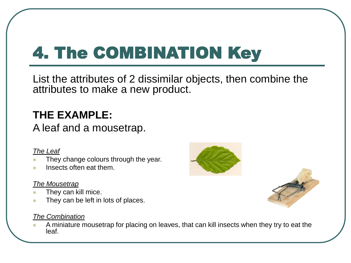# 4. The COMBINATION Key

List the attributes of 2 dissimilar objects, then combine the attributes to make a new product.

#### **THE EXAMPLE:**

A leaf and a mousetrap.

#### *The Leaf*

- They change colours through the year.
- Insects often eat them.

#### *The Mousetrap*

- They can kill mice.
- They can be left in lots of places.

#### *The Combination*

 A miniature mousetrap for placing on leaves, that can kill insects when they try to eat the leaf.



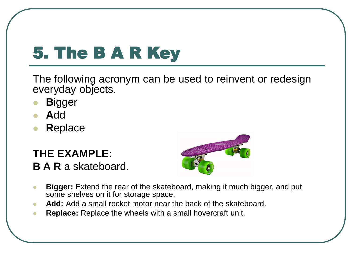# 5. The B A R Key

The following acronym can be used to reinvent or redesign everyday objects.

- **B**igger
- **A**dd
- **R**eplace

### **THE EXAMPLE:**

**B A R** a skateboard.



- **Bigger:** Extend the rear of the skateboard, making it much bigger, and put some shelves on it for storage space.
- **Add:** Add a small rocket motor near the back of the skateboard.
- **Replace:** Replace the wheels with a small hovercraft unit.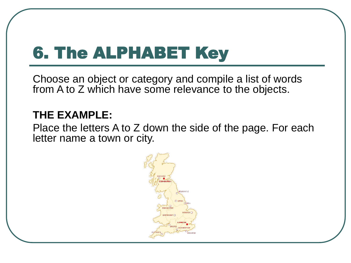### 6. The ALPHABET Key

Choose an object or category and compile a list of words from A to Z which have some relevance to the objects.

#### **THE EXAMPLE:**

Place the letters A to Z down the side of the page. For each letter name a town or city.

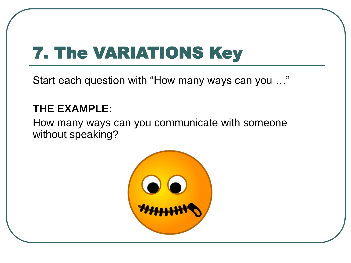## 7. The VARIATIONS Key

Start each question with "How many ways can you …"

#### **THE EXAMPLE:**

How many ways can you communicate with someone without speaking?

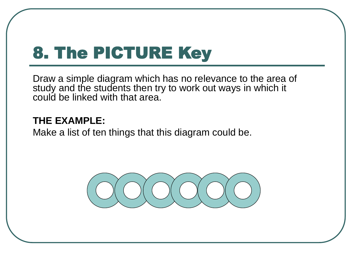### 8. The PICTURE Key

Draw a simple diagram which has no relevance to the area of study and the students then try to work out ways in which it could be linked with that area.

#### **THE EXAMPLE:**

Make a list of ten things that this diagram could be.

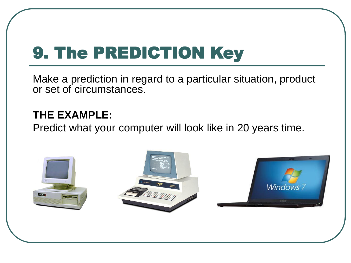### 9. The PREDICTION Key

Make a prediction in regard to a particular situation, product or set of circumstances.

#### **THE EXAMPLE:**

Predict what your computer will look like in 20 years time.

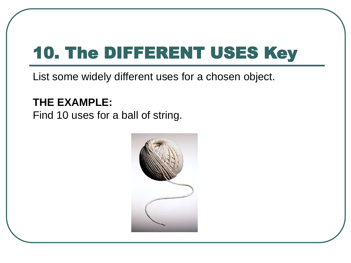## 10. The DIFFERENT USES Key

List some widely different uses for a chosen object.

#### **THE EXAMPLE:**

Find 10 uses for a ball of string.

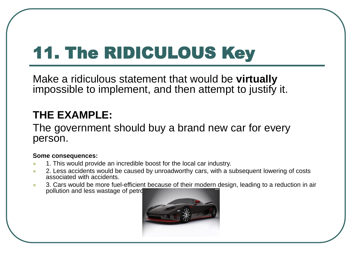# 11. The RIDICULOUS Key

Make a ridiculous statement that would be **virtually**  impossible to implement, and then attempt to justify it.

#### **THE EXAMPLE:**

The government should buy a brand new car for every person.

#### **Some consequences:**

- **1.** This would provide an incredible boost for the local car industry.
- 2. Less accidents would be caused by unroadworthy cars, with a subsequent lowering of costs associated with accidents.
- 3. Cars would be more fuel-efficient because of their modern design, leading to a reduction in air pollution and less wastage of petrol

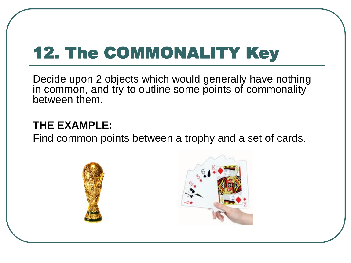# 12. The COMMONALITY Key

Decide upon 2 objects which would generally have nothing in common, and try to outline some points of commonality between them.

#### **THE EXAMPLE:**

Find common points between a trophy and a set of cards.



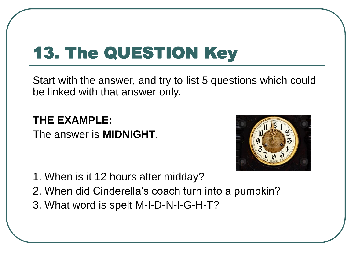# 13. The QUESTION Key

Start with the answer, and try to list 5 questions which could be linked with that answer only.

**THE EXAMPLE:** The answer is **MIDNIGHT**.



- 1. When is it 12 hours after midday?
- 2. When did Cinderella's coach turn into a pumpkin?
- 3. What word is spelt M-I-D-N-I-G-H-T?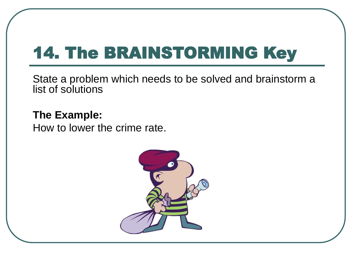### 14. The BRAINSTORMING Key

State a problem which needs to be solved and brainstorm a list of solutions

**The Example:** How to lower the crime rate.

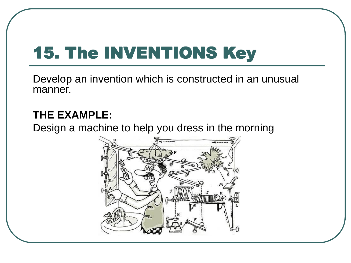# 15. The INVENTIONS Key

Develop an invention which is constructed in an unusual manner.

#### **THE EXAMPLE:**

Design a machine to help you dress in the morning

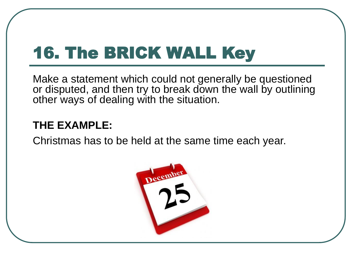## 16. The BRICK WALL Key

Make a statement which could not generally be questioned or disputed, and then try to break down the wall by outlining other ways of dealing with the situation.

#### **THE EXAMPLE:**

Christmas has to be held at the same time each year.

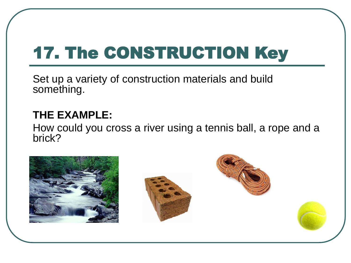# 17. The CONSTRUCTION Key

Set up a variety of construction materials and build something.

#### **THE EXAMPLE:**

How could you cross a river using a tennis ball, a rope and a brick?

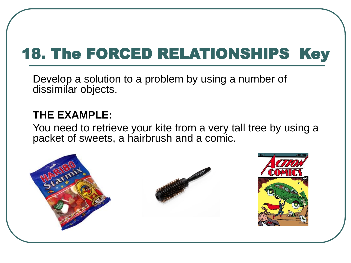### 18. The FORCED RELATIONSHIPS Key

Develop a solution to a problem by using a number of dissimilar objects.

#### **THE EXAMPLE:**

You need to retrieve your kite from a very tall tree by using a packet of sweets, a hairbrush and a comic.

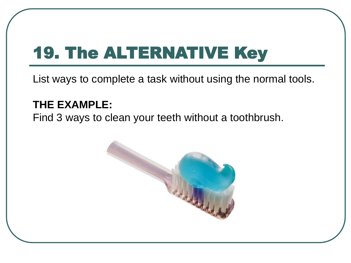### 19. The ALTERNATIVE Key

List ways to complete a task without using the normal tools.

#### **THE EXAMPLE:**

Find 3 ways to clean your teeth without a toothbrush.